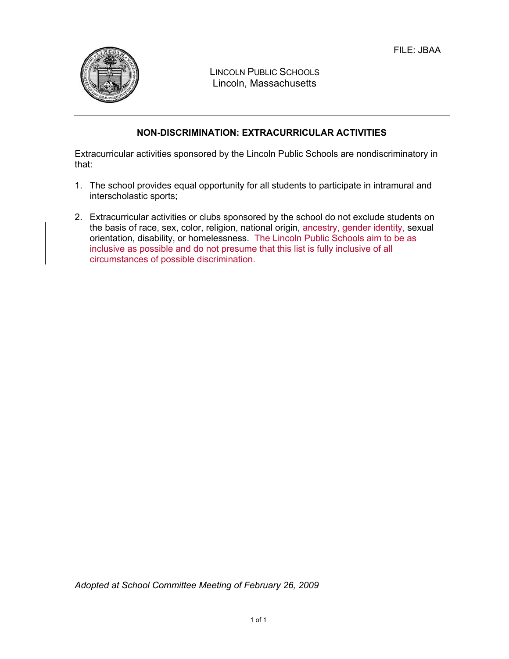

LINCOLN PUBLIC SCHOOLS Lincoln, Massachusetts

## **NON-DISCRIMINATION: EXTRACURRICULAR ACTIVITIES**

Extracurricular activities sponsored by the Lincoln Public Schools are nondiscriminatory in that:

- 1. The school provides equal opportunity for all students to participate in intramural and interscholastic sports;
- 2. Extracurricular activities or clubs sponsored by the school do not exclude students on the basis of race, sex, color, religion, national origin, ancestry, gender identity, sexual orientation, disability, or homelessness. The Lincoln Public Schools aim to be as inclusive as possible and do not presume that this list is fully inclusive of all circumstances of possible discrimination.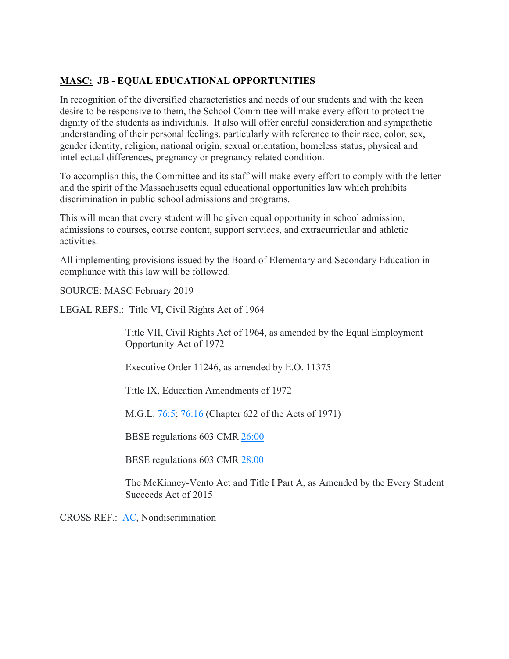## **MASC: JB - EQUAL EDUCATIONAL OPPORTUNITIES**

In recognition of the diversified characteristics and needs of our students and with the keen desire to be responsive to them, the School Committee will make every effort to protect the dignity of the students as individuals. It also will offer careful consideration and sympathetic understanding of their personal feelings, particularly with reference to their race, color, sex, gender identity, religion, national origin, sexual orientation, homeless status, physical and intellectual differences, pregnancy or pregnancy related condition.

To accomplish this, the Committee and its staff will make every effort to comply with the letter and the spirit of the Massachusetts equal educational opportunities law which prohibits discrimination in public school admissions and programs.

This will mean that every student will be given equal opportunity in school admission, admissions to courses, course content, support services, and extracurricular and athletic activities.

All implementing provisions issued by the Board of Elementary and Secondary Education in compliance with this law will be followed.

SOURCE: MASC February 2019

LEGAL REFS.: Title VI, Civil Rights Act of 1964

Title VII, Civil Rights Act of 1964, as amended by the Equal Employment Opportunity Act of 1972

Executive Order 11246, as amended by E.O. 11375

Title IX, Education Amendments of 1972

M.G.L. 76:5; 76:16 (Chapter 622 of the Acts of 1971)

BESE regulations 603 CMR 26:00

BESE regulations 603 CMR 28.00

The McKinney-Vento Act and Title I Part A, as Amended by the Every Student Succeeds Act of 2015

CROSS REF.: AC, Nondiscrimination